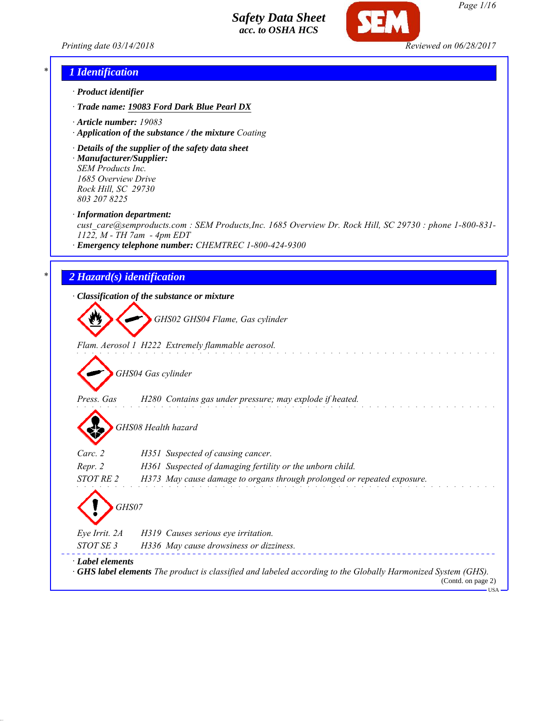*Printing date 03/14/2018 Reviewed on 06/28/2017*



# *\* 1 Identification*

- *· Product identifier*
- *· Trade name: 19083 Ford Dark Blue Pearl DX*
- *· Article number: 19083*
- *· Application of the substance / the mixture Coating*
- *· Details of the supplier of the safety data sheet · Manufacturer/Supplier: SEM Products Inc.*

*1685 Overview Drive Rock Hill, SC 29730 803 207 8225*

*· Information department:*

*cust\_care@semproducts.com : SEM Products,Inc. 1685 Overview Dr. Rock Hill, SC 29730 : phone 1-800-831- 1122, M - TH 7am - 4pm EDT*

*· Emergency telephone number: CHEMTREC 1-800-424-9300*

## *\* 2 Hazard(s) identification*

*· Classification of the substance or mixture*

*GHS02 GHS04 Flame, Gas cylinder*

*Flam. Aerosol 1 H222 Extremely flammable aerosol.*

*GHS04 Gas cylinder*

*Press. Gas H280 Contains gas under pressure; may explode if heated.*

*GHS08 Health hazard*

| $\mathbf{v}$           |                                                                                                                                           |
|------------------------|-------------------------------------------------------------------------------------------------------------------------------------------|
| Carc. 2                | H351 Suspected of causing cancer.                                                                                                         |
| Repr. 2                | H361 Suspected of damaging fertility or the unborn child.                                                                                 |
| STOT RE 2              | H373 May cause damage to organs through prolonged or repeated exposure.                                                                   |
| GHS07<br>Eye Irrit. 2A | H319 Causes serious eye irritation.                                                                                                       |
| STOT SE 3              | H336 May cause drowsiness or dizziness.                                                                                                   |
| · Label elements       | $\cdot$ GHS label elements The product is classified and labeled according to the Globally Harmonized System (GHS).<br>(Contd. on page 2) |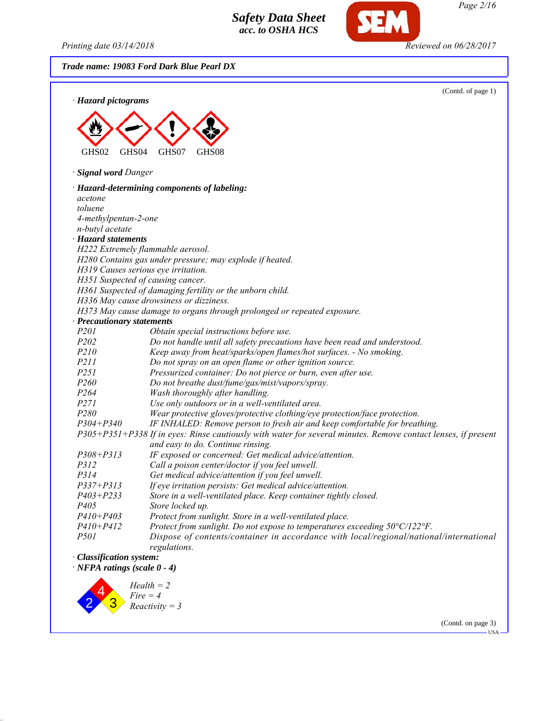*Printing date 03/14/2018 Reviewed on 06/28/2017*

*Trade name: 19083 Ford Dark Blue Pearl DX*



*Page 2/16*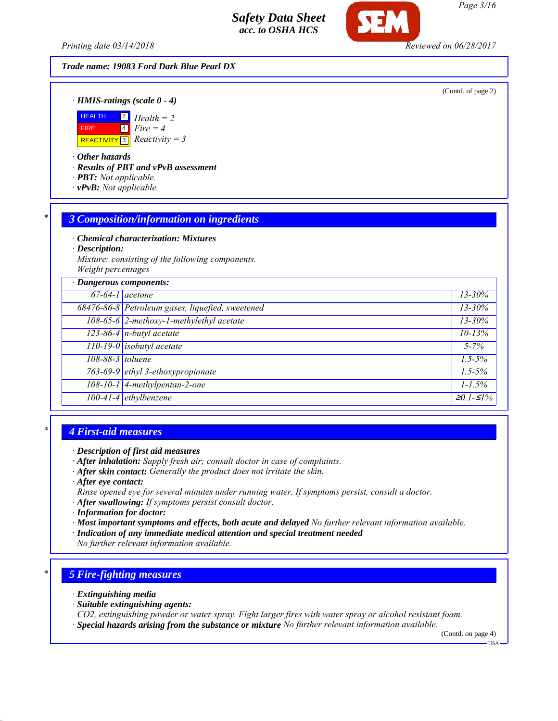*Printing date 03/14/2018 Reviewed on 06/28/2017*

*Trade name: 19083 Ford Dark Blue Pearl DX*

(Contd. of page 2)

*· HMIS-ratings (scale 0 - 4)*



*· Other hazards*

*· Results of PBT and vPvB assessment*

- *· PBT: Not applicable.*
- *· vPvB: Not applicable.*

#### *\* 3 Composition/information on ingredients*

*· Chemical characterization: Mixtures*

*· Description:*

*Mixture: consisting of the following components. Weight percentages*

| · Dangerous components: |                                                  |               |
|-------------------------|--------------------------------------------------|---------------|
| $67-64-1$ acetone       |                                                  | $13 - 30\%$   |
|                         | 68476-86-8 Petroleum gases, liquefied, sweetened | $13 - 30\%$   |
|                         | 108-65-6 2-methoxy-1-methylethyl acetate         | $13 - 30\%$   |
|                         | $123-86-4$ n-butyl acetate                       | $10 - 13%$    |
|                         | 110-19-0 isobutyl acetate                        | $5 - 7\%$     |
| 108-88-3 toluene        |                                                  | $1.5 - 5\%$   |
|                         | 763-69-9 ethyl 3-ethoxypropionate                | $1.5 - 5\%$   |
|                         | 108-10-1 4-methylpentan-2-one                    | $1 - 1.5\%$   |
|                         | 100-41-4 ethylbenzene                            | $20.1 - 51\%$ |

# *\* 4 First-aid measures*

- *· After inhalation: Supply fresh air; consult doctor in case of complaints.*
- *· After skin contact: Generally the product does not irritate the skin.*
- *· After eye contact:*
- *Rinse opened eye for several minutes under running water. If symptoms persist, consult a doctor.*
- *· After swallowing: If symptoms persist consult doctor.*
- *· Information for doctor:*
- *· Most important symptoms and effects, both acute and delayed No further relevant information available.*
- *· Indication of any immediate medical attention and special treatment needed*
- *No further relevant information available.*

# *\* 5 Fire-fighting measures*

- *· Extinguishing media*
- *· Suitable extinguishing agents:*
- *CO2, extinguishing powder or water spray. Fight larger fires with water spray or alcohol resistant foam.*
- *· Special hazards arising from the substance or mixture No further relevant information available.*

(Contd. on page 4)

USA

*Page 3/16*

*<sup>·</sup> Description of first aid measures*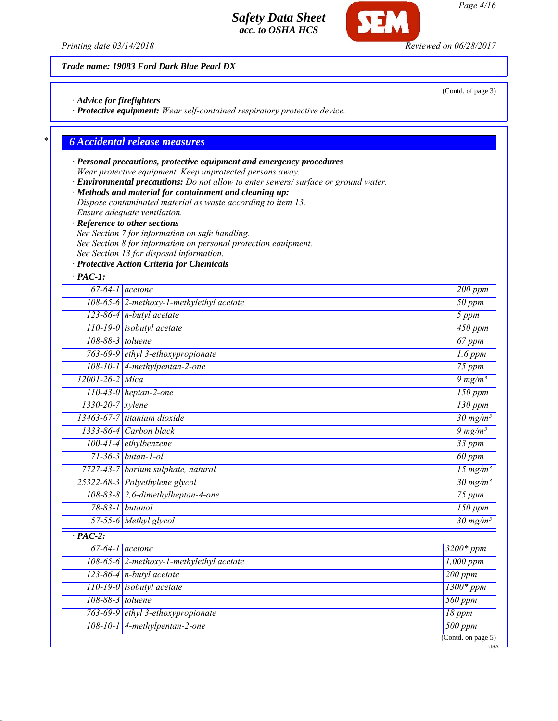

(Contd. of page 3)

USA

*Page 4/16*

*Trade name: 19083 Ford Dark Blue Pearl DX*

*· Advice for firefighters*

*· Protective equipment: Wear self-contained respiratory protective device.*

# *\* 6 Accidental release measures*

# *· Personal precautions, protective equipment and emergency procedures Wear protective equipment. Keep unprotected persons away.*

*· Environmental precautions: Do not allow to enter sewers/ surface or ground water.*

*· Methods and material for containment and cleaning up:*

- *Dispose contaminated material as waste according to item 13. Ensure adequate ventilation.*
- *· Reference to other sections*
- *See Section 7 for information on safe handling.*
- *See Section 8 for information on personal protection equipment.*
- *See Section 13 for disposal information.*
- *· Protective Action Criteria for Chemicals*

| $·$ PAC-1:             |                                             |                             |
|------------------------|---------------------------------------------|-----------------------------|
|                        | $67-64-1$ acetone                           | $200$ ppm                   |
|                        | 108-65-6 2-methoxy-1-methylethyl acetate    | $50$ ppm                    |
|                        | $123-86-4$ n-butyl acetate                  | 5 ppm                       |
|                        | $110-19-0$ isobutyl acetate                 | $\overline{450}$ ppm        |
| 108-88-3 toluene       |                                             | $67$ ppm                    |
|                        | 763-69-9 ethyl 3-ethoxypropionate           | $\overline{1.6}$ ppm        |
|                        | 108-10-1 4-methylpentan-2-one               | $75$ ppm                    |
| 12001-26-2 Mica        |                                             | $9 \frac{mg}{m^3}$          |
|                        | $110-43-0$ heptan-2-one                     | $150$ ppm                   |
| $1330 - 20 - 7$ xylene |                                             | $130$ ppm                   |
|                        | 13463-67-7 titanium dioxide                 | $30 \text{ mg/m}^3$         |
|                        | 1333-86-4 Carbon black                      | $9 \frac{mg}{m^3}$          |
|                        | $100-41-4$ ethylbenzene                     | $33$ ppm                    |
|                        | $71 - 36 - 3$ butan-1-ol                    | 60 ppm                      |
|                        | 7727-43-7 barium sulphate, natural          | $\frac{15 \text{ mg}}{m^3}$ |
|                        | 25322-68-3 Polyethylene glycol              | $30 \frac{mg}{m^3}$         |
|                        | $108-83-8$ 2,6-dimethylheptan-4-one         | $75$ ppm                    |
|                        | 78-83-1 butanol                             | $150$ ppm                   |
|                        | 57-55-6 Methyl glycol                       | $30 \text{ mg/m}^3$         |
| $\cdot$ PAC-2:         |                                             |                             |
|                        | $67-64-1$ acetone                           | $3200*ppm$                  |
|                        | 108-65-6 $2$ -methoxy-1-methylethyl acetate | $1,000$ ppm                 |
|                        | $123-86-4$ n-butyl acetate                  | $200$ ppm                   |
|                        | 110-19-0 isobutyl acetate                   | $1300*ppm$                  |
| 108-88-3 toluene       |                                             | $560$ ppm                   |
|                        | 763-69-9 ethyl 3-ethoxypropionate           | $18$ ppm                    |
|                        | $108-10-1$ 4-methylpentan-2-one             | $500$ ppm                   |
|                        |                                             | (Contd. on page $5$ )       |

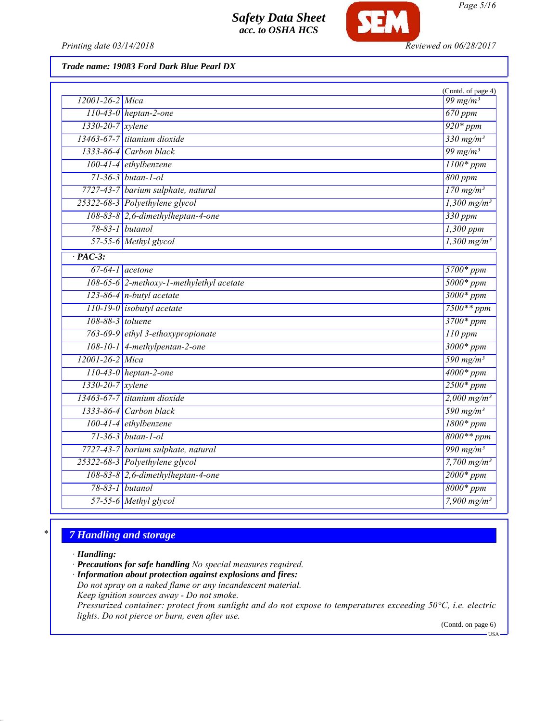

*Printing date 03/14/2018 Reviewed on 06/28/2017*

*Trade name: 19083 Ford Dark Blue Pearl DX*

|                               |                                          | (Contd. of page 4)                              |
|-------------------------------|------------------------------------------|-------------------------------------------------|
| 12001-26-2 Mica               |                                          | 99 mg/m <sup>3</sup>                            |
|                               | $110-43-0$ heptan-2-one                  | $670$ ppm                                       |
| $1330 - 20 - 7$ <i>xylene</i> |                                          | $920*ppm$                                       |
|                               | 13463-67-7 titanium dioxide              | 330 mg/m <sup>3</sup>                           |
|                               | 1333-86-4 Carbon black                   | 99 mg/m $3$                                     |
|                               | $100-41-4$ ethylbenzene                  | $1100*ppm$                                      |
|                               | $71-36-3$ butan-1-ol                     | 800 ppm                                         |
|                               | 7727-43-7 barium sulphate, natural       | $\frac{170 \text{ mg/m}^3}{250 \text{ mg/m}^3}$ |
|                               | 25322-68-3 Polyethylene glycol           | $1,300$ mg/m <sup>3</sup>                       |
|                               | 108-83-8 2,6-dimethylheptan-4-one        | $330$ ppm                                       |
|                               | 78-83-1 butanol                          | $1,300$ ppm                                     |
|                               | 57-55-6 Methyl glycol                    | $1,300$ mg/m <sup>3</sup>                       |
| $\cdot$ PAC-3:                |                                          |                                                 |
|                               | $67-64-1$ acetone                        | $5700*ppm$                                      |
|                               | 108-65-6 2-methoxy-1-methylethyl acetate | $5000*ppm$                                      |
|                               | $123-86-4$ n-butyl acetate               | $3000*ppm$                                      |
|                               | 110-19-0 isobutyl acetate                | $7500**$ ppm                                    |
| 108-88-3 toluene              |                                          | $3700*ppm$                                      |
|                               | 763-69-9 ethyl 3-ethoxypropionate        | $110$ ppm                                       |
|                               | 108-10-1 4-methylpentan-2-one            | $3000*ppm$                                      |
| 12001-26-2 Mica               |                                          | 590 mg/m <sup>3</sup>                           |
|                               | $110-43-0$ heptan-2-one                  | $4000*ppm$                                      |
| 1330-20-7 xylene              |                                          | $2500*ppm$                                      |
|                               | 13463-67-7 titanium dioxide              | $2,000 \text{ mg/m}^3$                          |
|                               | 1333-86-4 Carbon black                   | 590 mg/m <sup>3</sup>                           |
|                               | 100-41-4 ethylbenzene                    | $1800*ppm$                                      |
|                               | $71 - 36 - 3$ butan-1-ol                 | $8000**ppm$                                     |
|                               | 7727-43-7 barium sulphate, natural       | $\frac{990 \text{ mg/m}^3}{990 \text{ mg/m}^3}$ |
|                               | 25322-68-3 Polyethylene glycol           | $7,700$ mg/m <sup>3</sup>                       |
|                               | 108-83-8 2,6-dimethylheptan-4-one        | $2000*ppm$                                      |
|                               | 78-83-1 butanol                          | $8000*$ ppm                                     |
|                               | 57-55-6 Methyl glycol                    | 7,900 $mg/m^3$                                  |
|                               |                                          |                                                 |

# *\* 7 Handling and storage*

*· Handling:*

*· Precautions for safe handling No special measures required.*

*· Information about protection against explosions and fires: Do not spray on a naked flame or any incandescent material.*

*Keep ignition sources away - Do not smoke.*

*Pressurized container: protect from sunlight and do not expose to temperatures exceeding 50°C, i.e. electric lights. Do not pierce or burn, even after use.*

(Contd. on page 6)

 $-<sub>USA</sub>$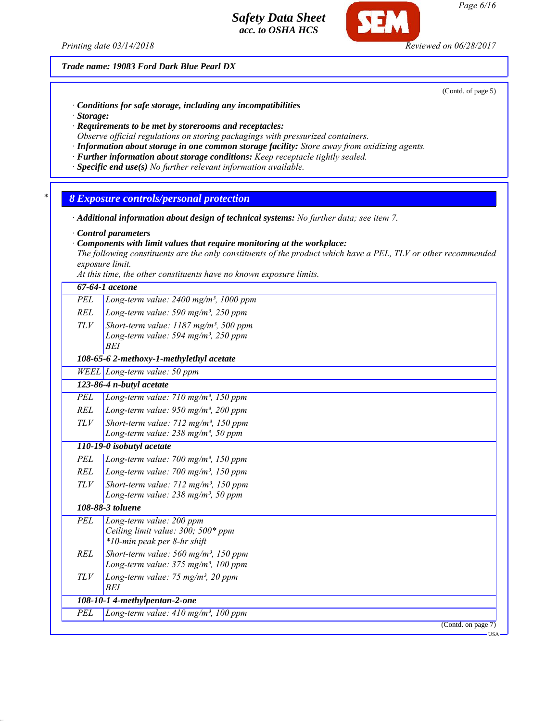*Printing date 03/14/2018 Reviewed on 06/28/2017*

*Trade name: 19083 Ford Dark Blue Pearl DX*

(Contd. of page 5)

- *· Conditions for safe storage, including any incompatibilities*
- *· Storage:*
- *· Requirements to be met by storerooms and receptacles:*
- *Observe official regulations on storing packagings with pressurized containers.*
- *· Information about storage in one common storage facility: Store away from oxidizing agents.*
- *· Further information about storage conditions: Keep receptacle tightly sealed.*
- *· Specific end use(s) No further relevant information available.*
- *\* 8 Exposure controls/personal protection*
- *· Additional information about design of technical systems: No further data; see item 7.*
- *· Control parameters*
- *· Components with limit values that require monitoring at the workplace:*

*The following constituents are the only constituents of the product which have a PEL, TLV or other recommended exposure limit.*

*At this time, the other constituents have no known exposure limits.*

|            | 67-64-1 acetone                                                                                                 |
|------------|-----------------------------------------------------------------------------------------------------------------|
| PEL        | Long-term value: $2400$ mg/m <sup>3</sup> , 1000 ppm                                                            |
| REL        | Long-term value: 590 mg/m <sup>3</sup> , 250 ppm                                                                |
| TLV        | Short-term value: $1187$ mg/m <sup>3</sup> , 500 ppm<br>Long-term value: 594 mg/m <sup>3</sup> , 250 ppm<br>BEI |
|            | 108-65-6 2-methoxy-1-methylethyl acetate                                                                        |
|            | WEEL Long-term value: 50 ppm                                                                                    |
|            | 123-86-4 n-butyl acetate                                                                                        |
| <b>PEL</b> | Long-term value: $710$ mg/m <sup>3</sup> , $150$ ppm                                                            |
| <b>REL</b> | Long-term value: $950$ mg/m <sup>3</sup> , 200 ppm                                                              |
| TLV        | Short-term value: 712 mg/m <sup>3</sup> , 150 ppm<br>Long-term value: $238 \text{ mg/m}^3$ , 50 ppm             |
|            | 110-19-0 isobutyl acetate                                                                                       |
| PEL        | Long-term value: $700$ mg/m <sup>3</sup> , $150$ ppm                                                            |
| <b>REL</b> | Long-term value: $700$ mg/m <sup>3</sup> , 150 ppm                                                              |
| TLV        | Short-term value: $712$ mg/m <sup>3</sup> , 150 ppm<br>Long-term value: 238 mg/m <sup>3</sup> , 50 ppm          |
|            | 108-88-3 toluene                                                                                                |
| <b>PEL</b> | Long-term value: 200 ppm<br>Ceiling limit value: 300; 500* ppm<br>*10-min peak per 8-hr shift                   |
| REL        | Short-term value: $560$ mg/m <sup>3</sup> , 150 ppm<br>Long-term value: $375$ mg/m <sup>3</sup> , 100 ppm       |
| TLV        | Long-term value: 75 mg/m <sup>3</sup> , 20 ppm<br><b>BEI</b>                                                    |
|            | 108-10-1 4-methylpentan-2-one                                                                                   |
| PEL        | Long-term value: $410$ mg/m <sup>3</sup> , 100 ppm                                                              |
|            | (Contd. on page 7)                                                                                              |

*Page 6/16*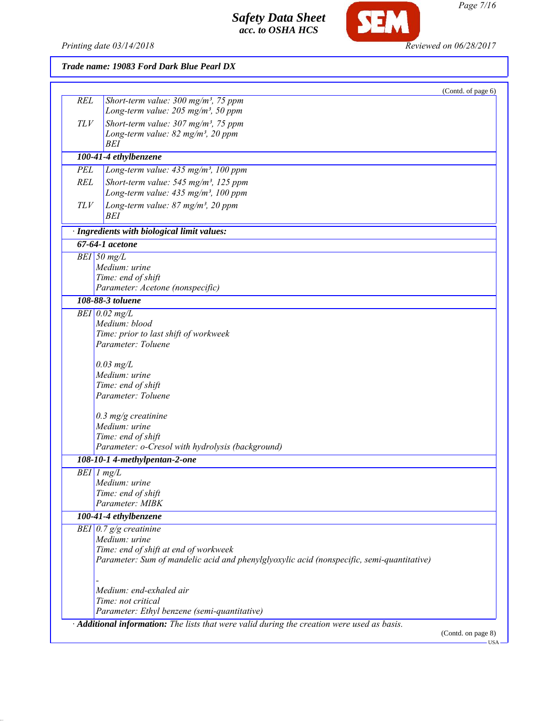

*Printing date 03/14/2018 Reviewed on 06/28/2017*

| Trade name: 19083 Ford Dark Blue Pearl DX |  |
|-------------------------------------------|--|
|-------------------------------------------|--|

| Long-term value: $205$ mg/m <sup>3</sup> , 50 ppm<br>Short-term value: $307 \text{ mg/m}^3$ , 75 ppm<br>TLV<br>Long-term value: $82$ mg/m <sup>3</sup> , 20 ppm<br>BEI<br>100-41-4 ethylbenzene<br>PEL<br>Long-term value: $435$ mg/m <sup>3</sup> , 100 ppm<br><b>REL</b><br>Short-term value: 545 mg/m <sup>3</sup> , 125 ppm<br>Long-term value: 435 mg/m <sup>3</sup> , 100 ppm<br>Long-term value: 87 mg/m <sup>3</sup> , 20 ppm<br>TLV<br>BEI<br>· Ingredients with biological limit values:<br>67-64-1 acetone<br>$BEI$ 50 mg/L<br>Medium: urine<br>Time: end of shift<br>Parameter: Acetone (nonspecific)<br>108-88-3 toluene<br>$BEI$ 0.02 mg/L<br>Medium: blood<br>Time: prior to last shift of workweek<br>Parameter: Toluene<br>$0.03$ mg/L<br>Medium: urine<br>Time: end of shift<br>Parameter: Toluene<br>$0.3$ mg/g creatinine<br>Medium: urine<br>Time: end of shift<br>Parameter: o-Cresol with hydrolysis (background)<br>108-10-1 4-methylpentan-2-one<br>$BEI$ 1 mg/L<br>Medium: urine<br>Time: end of shift<br>Parameter: MIBK<br>100-41-4 ethylbenzene<br>BEI $\vert 0.7 \, g/g$ creatinine<br>Medium: urine<br>Time: end of shift at end of workweek<br>Parameter: Sum of mandelic acid and phenylglyoxylic acid (nonspecific, semi-quantitative)<br>Medium: end-exhaled air<br>Time: not critical<br>Parameter: Ethyl benzene (semi-quantitative) | · Additional information: The lists that were valid during the creation were used as basis.<br>(Contd. on page 8) |     |                                                    | (Contd. of page 6) |
|---------------------------------------------------------------------------------------------------------------------------------------------------------------------------------------------------------------------------------------------------------------------------------------------------------------------------------------------------------------------------------------------------------------------------------------------------------------------------------------------------------------------------------------------------------------------------------------------------------------------------------------------------------------------------------------------------------------------------------------------------------------------------------------------------------------------------------------------------------------------------------------------------------------------------------------------------------------------------------------------------------------------------------------------------------------------------------------------------------------------------------------------------------------------------------------------------------------------------------------------------------------------------------------------------------------------------------------------------------------------------|-------------------------------------------------------------------------------------------------------------------|-----|----------------------------------------------------|--------------------|
|                                                                                                                                                                                                                                                                                                                                                                                                                                                                                                                                                                                                                                                                                                                                                                                                                                                                                                                                                                                                                                                                                                                                                                                                                                                                                                                                                                           |                                                                                                                   | REL | Short-term value: $300$ mg/m <sup>3</sup> , 75 ppm |                    |
|                                                                                                                                                                                                                                                                                                                                                                                                                                                                                                                                                                                                                                                                                                                                                                                                                                                                                                                                                                                                                                                                                                                                                                                                                                                                                                                                                                           |                                                                                                                   |     |                                                    |                    |
|                                                                                                                                                                                                                                                                                                                                                                                                                                                                                                                                                                                                                                                                                                                                                                                                                                                                                                                                                                                                                                                                                                                                                                                                                                                                                                                                                                           |                                                                                                                   |     |                                                    |                    |
|                                                                                                                                                                                                                                                                                                                                                                                                                                                                                                                                                                                                                                                                                                                                                                                                                                                                                                                                                                                                                                                                                                                                                                                                                                                                                                                                                                           |                                                                                                                   |     |                                                    |                    |
|                                                                                                                                                                                                                                                                                                                                                                                                                                                                                                                                                                                                                                                                                                                                                                                                                                                                                                                                                                                                                                                                                                                                                                                                                                                                                                                                                                           |                                                                                                                   |     |                                                    |                    |
|                                                                                                                                                                                                                                                                                                                                                                                                                                                                                                                                                                                                                                                                                                                                                                                                                                                                                                                                                                                                                                                                                                                                                                                                                                                                                                                                                                           |                                                                                                                   |     |                                                    |                    |
|                                                                                                                                                                                                                                                                                                                                                                                                                                                                                                                                                                                                                                                                                                                                                                                                                                                                                                                                                                                                                                                                                                                                                                                                                                                                                                                                                                           |                                                                                                                   |     |                                                    |                    |
|                                                                                                                                                                                                                                                                                                                                                                                                                                                                                                                                                                                                                                                                                                                                                                                                                                                                                                                                                                                                                                                                                                                                                                                                                                                                                                                                                                           |                                                                                                                   |     |                                                    |                    |
|                                                                                                                                                                                                                                                                                                                                                                                                                                                                                                                                                                                                                                                                                                                                                                                                                                                                                                                                                                                                                                                                                                                                                                                                                                                                                                                                                                           |                                                                                                                   |     |                                                    |                    |
|                                                                                                                                                                                                                                                                                                                                                                                                                                                                                                                                                                                                                                                                                                                                                                                                                                                                                                                                                                                                                                                                                                                                                                                                                                                                                                                                                                           |                                                                                                                   |     |                                                    |                    |
|                                                                                                                                                                                                                                                                                                                                                                                                                                                                                                                                                                                                                                                                                                                                                                                                                                                                                                                                                                                                                                                                                                                                                                                                                                                                                                                                                                           |                                                                                                                   |     |                                                    |                    |
|                                                                                                                                                                                                                                                                                                                                                                                                                                                                                                                                                                                                                                                                                                                                                                                                                                                                                                                                                                                                                                                                                                                                                                                                                                                                                                                                                                           |                                                                                                                   |     |                                                    |                    |
|                                                                                                                                                                                                                                                                                                                                                                                                                                                                                                                                                                                                                                                                                                                                                                                                                                                                                                                                                                                                                                                                                                                                                                                                                                                                                                                                                                           |                                                                                                                   |     |                                                    |                    |
|                                                                                                                                                                                                                                                                                                                                                                                                                                                                                                                                                                                                                                                                                                                                                                                                                                                                                                                                                                                                                                                                                                                                                                                                                                                                                                                                                                           |                                                                                                                   |     |                                                    |                    |
|                                                                                                                                                                                                                                                                                                                                                                                                                                                                                                                                                                                                                                                                                                                                                                                                                                                                                                                                                                                                                                                                                                                                                                                                                                                                                                                                                                           |                                                                                                                   |     |                                                    |                    |
|                                                                                                                                                                                                                                                                                                                                                                                                                                                                                                                                                                                                                                                                                                                                                                                                                                                                                                                                                                                                                                                                                                                                                                                                                                                                                                                                                                           |                                                                                                                   |     |                                                    |                    |
|                                                                                                                                                                                                                                                                                                                                                                                                                                                                                                                                                                                                                                                                                                                                                                                                                                                                                                                                                                                                                                                                                                                                                                                                                                                                                                                                                                           |                                                                                                                   |     |                                                    |                    |
|                                                                                                                                                                                                                                                                                                                                                                                                                                                                                                                                                                                                                                                                                                                                                                                                                                                                                                                                                                                                                                                                                                                                                                                                                                                                                                                                                                           |                                                                                                                   |     |                                                    |                    |
|                                                                                                                                                                                                                                                                                                                                                                                                                                                                                                                                                                                                                                                                                                                                                                                                                                                                                                                                                                                                                                                                                                                                                                                                                                                                                                                                                                           |                                                                                                                   |     |                                                    |                    |
|                                                                                                                                                                                                                                                                                                                                                                                                                                                                                                                                                                                                                                                                                                                                                                                                                                                                                                                                                                                                                                                                                                                                                                                                                                                                                                                                                                           |                                                                                                                   |     |                                                    |                    |
|                                                                                                                                                                                                                                                                                                                                                                                                                                                                                                                                                                                                                                                                                                                                                                                                                                                                                                                                                                                                                                                                                                                                                                                                                                                                                                                                                                           |                                                                                                                   |     |                                                    |                    |
|                                                                                                                                                                                                                                                                                                                                                                                                                                                                                                                                                                                                                                                                                                                                                                                                                                                                                                                                                                                                                                                                                                                                                                                                                                                                                                                                                                           |                                                                                                                   |     |                                                    |                    |
|                                                                                                                                                                                                                                                                                                                                                                                                                                                                                                                                                                                                                                                                                                                                                                                                                                                                                                                                                                                                                                                                                                                                                                                                                                                                                                                                                                           |                                                                                                                   |     |                                                    |                    |
|                                                                                                                                                                                                                                                                                                                                                                                                                                                                                                                                                                                                                                                                                                                                                                                                                                                                                                                                                                                                                                                                                                                                                                                                                                                                                                                                                                           |                                                                                                                   |     |                                                    |                    |
|                                                                                                                                                                                                                                                                                                                                                                                                                                                                                                                                                                                                                                                                                                                                                                                                                                                                                                                                                                                                                                                                                                                                                                                                                                                                                                                                                                           |                                                                                                                   |     |                                                    |                    |
|                                                                                                                                                                                                                                                                                                                                                                                                                                                                                                                                                                                                                                                                                                                                                                                                                                                                                                                                                                                                                                                                                                                                                                                                                                                                                                                                                                           |                                                                                                                   |     |                                                    |                    |
|                                                                                                                                                                                                                                                                                                                                                                                                                                                                                                                                                                                                                                                                                                                                                                                                                                                                                                                                                                                                                                                                                                                                                                                                                                                                                                                                                                           |                                                                                                                   |     |                                                    |                    |
|                                                                                                                                                                                                                                                                                                                                                                                                                                                                                                                                                                                                                                                                                                                                                                                                                                                                                                                                                                                                                                                                                                                                                                                                                                                                                                                                                                           |                                                                                                                   |     |                                                    |                    |
|                                                                                                                                                                                                                                                                                                                                                                                                                                                                                                                                                                                                                                                                                                                                                                                                                                                                                                                                                                                                                                                                                                                                                                                                                                                                                                                                                                           |                                                                                                                   |     |                                                    |                    |
|                                                                                                                                                                                                                                                                                                                                                                                                                                                                                                                                                                                                                                                                                                                                                                                                                                                                                                                                                                                                                                                                                                                                                                                                                                                                                                                                                                           |                                                                                                                   |     |                                                    |                    |
|                                                                                                                                                                                                                                                                                                                                                                                                                                                                                                                                                                                                                                                                                                                                                                                                                                                                                                                                                                                                                                                                                                                                                                                                                                                                                                                                                                           |                                                                                                                   |     |                                                    |                    |
|                                                                                                                                                                                                                                                                                                                                                                                                                                                                                                                                                                                                                                                                                                                                                                                                                                                                                                                                                                                                                                                                                                                                                                                                                                                                                                                                                                           |                                                                                                                   |     |                                                    |                    |
|                                                                                                                                                                                                                                                                                                                                                                                                                                                                                                                                                                                                                                                                                                                                                                                                                                                                                                                                                                                                                                                                                                                                                                                                                                                                                                                                                                           |                                                                                                                   |     |                                                    |                    |
|                                                                                                                                                                                                                                                                                                                                                                                                                                                                                                                                                                                                                                                                                                                                                                                                                                                                                                                                                                                                                                                                                                                                                                                                                                                                                                                                                                           |                                                                                                                   |     |                                                    |                    |
|                                                                                                                                                                                                                                                                                                                                                                                                                                                                                                                                                                                                                                                                                                                                                                                                                                                                                                                                                                                                                                                                                                                                                                                                                                                                                                                                                                           |                                                                                                                   |     |                                                    |                    |
|                                                                                                                                                                                                                                                                                                                                                                                                                                                                                                                                                                                                                                                                                                                                                                                                                                                                                                                                                                                                                                                                                                                                                                                                                                                                                                                                                                           |                                                                                                                   |     |                                                    |                    |
|                                                                                                                                                                                                                                                                                                                                                                                                                                                                                                                                                                                                                                                                                                                                                                                                                                                                                                                                                                                                                                                                                                                                                                                                                                                                                                                                                                           |                                                                                                                   |     |                                                    |                    |
|                                                                                                                                                                                                                                                                                                                                                                                                                                                                                                                                                                                                                                                                                                                                                                                                                                                                                                                                                                                                                                                                                                                                                                                                                                                                                                                                                                           |                                                                                                                   |     |                                                    |                    |
|                                                                                                                                                                                                                                                                                                                                                                                                                                                                                                                                                                                                                                                                                                                                                                                                                                                                                                                                                                                                                                                                                                                                                                                                                                                                                                                                                                           |                                                                                                                   |     |                                                    |                    |
|                                                                                                                                                                                                                                                                                                                                                                                                                                                                                                                                                                                                                                                                                                                                                                                                                                                                                                                                                                                                                                                                                                                                                                                                                                                                                                                                                                           |                                                                                                                   |     |                                                    |                    |
|                                                                                                                                                                                                                                                                                                                                                                                                                                                                                                                                                                                                                                                                                                                                                                                                                                                                                                                                                                                                                                                                                                                                                                                                                                                                                                                                                                           |                                                                                                                   |     |                                                    |                    |
|                                                                                                                                                                                                                                                                                                                                                                                                                                                                                                                                                                                                                                                                                                                                                                                                                                                                                                                                                                                                                                                                                                                                                                                                                                                                                                                                                                           |                                                                                                                   |     |                                                    |                    |
|                                                                                                                                                                                                                                                                                                                                                                                                                                                                                                                                                                                                                                                                                                                                                                                                                                                                                                                                                                                                                                                                                                                                                                                                                                                                                                                                                                           |                                                                                                                   |     |                                                    |                    |
|                                                                                                                                                                                                                                                                                                                                                                                                                                                                                                                                                                                                                                                                                                                                                                                                                                                                                                                                                                                                                                                                                                                                                                                                                                                                                                                                                                           |                                                                                                                   |     |                                                    |                    |
|                                                                                                                                                                                                                                                                                                                                                                                                                                                                                                                                                                                                                                                                                                                                                                                                                                                                                                                                                                                                                                                                                                                                                                                                                                                                                                                                                                           |                                                                                                                   |     |                                                    |                    |
|                                                                                                                                                                                                                                                                                                                                                                                                                                                                                                                                                                                                                                                                                                                                                                                                                                                                                                                                                                                                                                                                                                                                                                                                                                                                                                                                                                           |                                                                                                                   |     |                                                    |                    |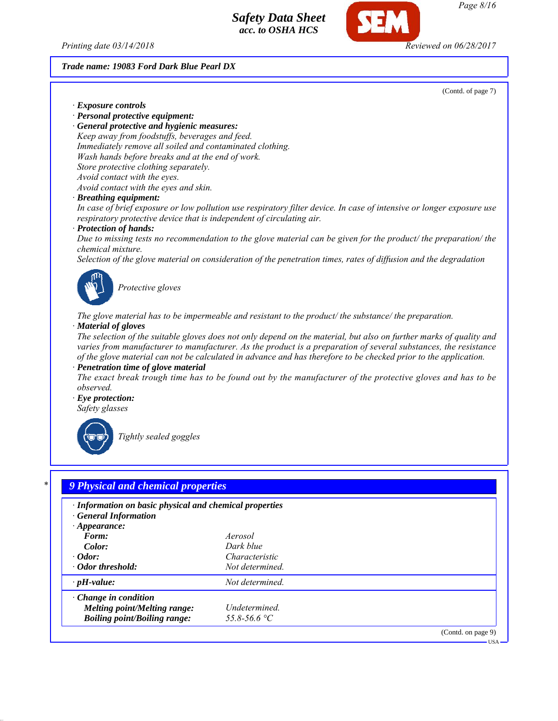



*Page 8/16*

#### *Trade name: 19083 Ford Dark Blue Pearl DX*

(Contd. of page 7)

USA

*· Exposure controls*

*· Personal protective equipment:*

*· General protective and hygienic measures: Keep away from foodstuffs, beverages and feed. Immediately remove all soiled and contaminated clothing. Wash hands before breaks and at the end of work. Store protective clothing separately. Avoid contact with the eyes. Avoid contact with the eyes and skin.*

*· Breathing equipment:*

*In case of brief exposure or low pollution use respiratory filter device. In case of intensive or longer exposure use respiratory protective device that is independent of circulating air.*

#### *· Protection of hands:*

*Due to missing tests no recommendation to the glove material can be given for the product/ the preparation/ the chemical mixture.*

*Selection of the glove material on consideration of the penetration times, rates of diffusion and the degradation*



*Protective gloves*

*The glove material has to be impermeable and resistant to the product/ the substance/ the preparation. · Material of gloves*

*The selection of the suitable gloves does not only depend on the material, but also on further marks of quality and varies from manufacturer to manufacturer. As the product is a preparation of several substances, the resistance of the glove material can not be calculated in advance and has therefore to be checked prior to the application.*

*· Penetration time of glove material*

*The exact break trough time has to be found out by the manufacturer of the protective gloves and has to be observed.*

*· Eye protection: Safety glasses*



*Tightly sealed goggles*

# *\* 9 Physical and chemical properties*

| · Information on basic physical and chemical properties<br><b>General Information</b><br>$\cdot$ Appearance:<br>Form:<br>Color:<br>$\cdot$ Odor:<br>· Odor threshold: | Aerosol<br>Dark blue<br>Characteristic<br>Not determined. |                    |
|-----------------------------------------------------------------------------------------------------------------------------------------------------------------------|-----------------------------------------------------------|--------------------|
| $\cdot$ pH-value:                                                                                                                                                     | Not determined.                                           |                    |
| $\cdot$ Change in condition<br><b>Melting point/Melting range:</b><br><b>Boiling point/Boiling range:</b>                                                             | Undetermined.<br>55.8-56.6 °C                             |                    |
|                                                                                                                                                                       |                                                           | (Contd. on page 9) |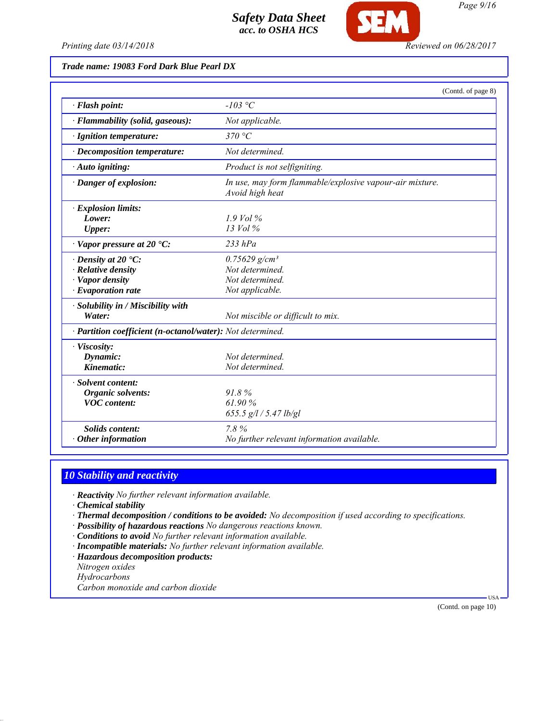

*Printing date 03/14/2018 Reviewed on 06/28/2017*

# *Trade name: 19083 Ford Dark Blue Pearl DX*

|                                                            | (Contd. of page 8)                                                          |
|------------------------------------------------------------|-----------------------------------------------------------------------------|
| · Flash point:                                             | $-103$ °C                                                                   |
| · Flammability (solid, gaseous):                           | Not applicable.                                                             |
| · Ignition temperature:                                    | 370 °C                                                                      |
| · Decomposition temperature:                               | Not determined.                                                             |
| · Auto igniting:                                           | Product is not selfigniting.                                                |
| · Danger of explosion:                                     | In use, may form flammable/explosive vapour-air mixture.<br>Avoid high heat |
| $\cdot$ Explosion limits:                                  |                                                                             |
| Lower:                                                     | $1.9$ Vol %                                                                 |
| <b>Upper:</b>                                              | $13$ Vol $\%$                                                               |
| $\cdot$ Vapor pressure at 20 $\textdegree$ C:              | $233$ $hPa$                                                                 |
| $\cdot$ Density at 20 $\cdot$ C:                           | $0.75629$ g/cm <sup>3</sup>                                                 |
| $\cdot$ Relative density                                   | Not determined.                                                             |
| · Vapor density                                            | Not determined.                                                             |
| $\cdot$ Evaporation rate                                   | Not applicable.                                                             |
| · Solubility in / Miscibility with                         |                                                                             |
| Water:                                                     | Not miscible or difficult to mix.                                           |
| · Partition coefficient (n-octanol/water): Not determined. |                                                                             |
| · Viscosity:                                               |                                                                             |
| Dynamic:                                                   | Not determined                                                              |
| Kinematic:                                                 | Not determined.                                                             |
| · Solvent content:                                         |                                                                             |
| <b>Organic solvents:</b>                                   | 91.8%                                                                       |
| <b>VOC</b> content:                                        | 61.90%                                                                      |
|                                                            | 655.5 $g/l / 5.47$ lb/gl                                                    |
| <b>Solids content:</b>                                     | 7.8%                                                                        |
| Other information                                          | No further relevant information available.                                  |

# *10 Stability and reactivity*

*· Reactivity No further relevant information available.*

*· Chemical stability*

*· Thermal decomposition / conditions to be avoided: No decomposition if used according to specifications.*

*· Possibility of hazardous reactions No dangerous reactions known.*

*· Conditions to avoid No further relevant information available.*

*· Incompatible materials: No further relevant information available.*

*· Hazardous decomposition products:*

*Nitrogen oxides*

*Hydrocarbons*

*Carbon monoxide and carbon dioxide*

(Contd. on page 10)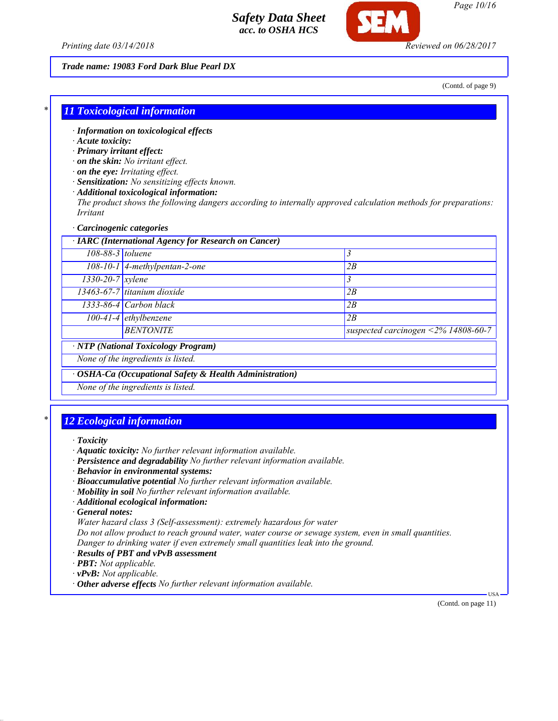

*Page 10/16*

*Printing date 03/14/2018 Reviewed on 06/28/2017*

#### *Trade name: 19083 Ford Dark Blue Pearl DX*

(Contd. of page 9)

#### *\* 11 Toxicological information*

- *· Information on toxicological effects*
- *· Acute toxicity:*
- *· Primary irritant effect:*
- *· on the skin: No irritant effect.*
- *· on the eye: Irritating effect.*
- *· Sensitization: No sensitizing effects known.*
- *· Additional toxicological information:*

*The product shows the following dangers according to internally approved calculation methods for preparations: Irritant*

#### *· Carcinogenic categories*

| · IARC (International Agency for Research on Cancer) |                                                         |                                     |
|------------------------------------------------------|---------------------------------------------------------|-------------------------------------|
| $108-88-3$ toluene                                   |                                                         | 3                                   |
|                                                      | $108-10-1$ 4-methylpentan-2-one                         | 2B                                  |
| $1330 - 20 - 7$ xylene                               |                                                         | 3                                   |
|                                                      | $13463-67-7$ titanium dioxide                           | 2B                                  |
|                                                      | 1333-86-4 Carbon black                                  | 2B                                  |
|                                                      | $100-41-4$ ethylbenzene                                 | 2B                                  |
|                                                      | <b>BENTONITE</b>                                        | suspected carcinogen <2% 14808-60-7 |
|                                                      | <b>NTP</b> (National Toxicology Program)                |                                     |
|                                                      | None of the ingredients is listed.                      |                                     |
|                                                      | · OSHA-Ca (Occupational Safety & Health Administration) |                                     |
|                                                      | None of the ingredients is listed.                      |                                     |

#### *\* 12 Ecological information*

- *· Aquatic toxicity: No further relevant information available.*
- *· Persistence and degradability No further relevant information available.*
- *· Behavior in environmental systems:*
- *· Bioaccumulative potential No further relevant information available.*
- *· Mobility in soil No further relevant information available.*
- *· Additional ecological information:*
- *· General notes:*
- *Water hazard class 3 (Self-assessment): extremely hazardous for water*

*Do not allow product to reach ground water, water course or sewage system, even in small quantities. Danger to drinking water if even extremely small quantities leak into the ground.*

- *· Results of PBT and vPvB assessment*
- *· PBT: Not applicable.*
- *· vPvB: Not applicable.*
- *· Other adverse effects No further relevant information available.*

(Contd. on page 11)

*<sup>·</sup> Toxicity*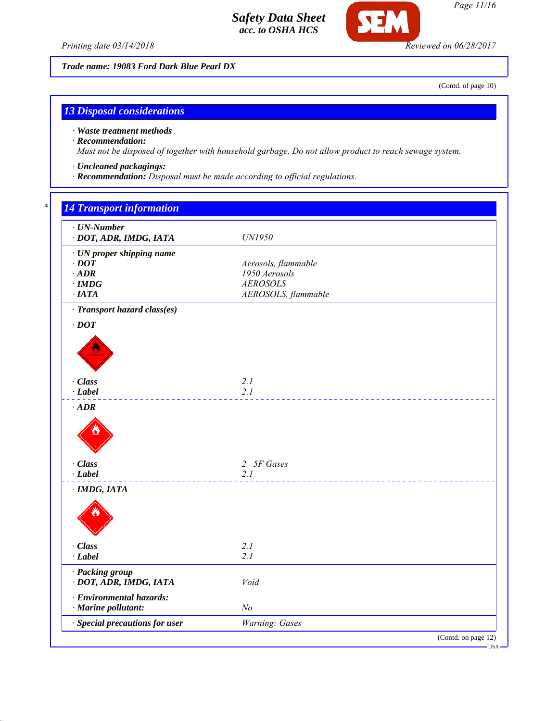

*Page 11/16*

*Printing date 03/14/2018 Reviewed on 06/28/2017*

*Trade name: 19083 Ford Dark Blue Pearl DX*

(Contd. of page 10)

USA

## *13 Disposal considerations*

*· Waste treatment methods*

#### *· Recommendation:*

*Must not be disposed of together with household garbage. Do not allow product to reach sewage system.*

- *· Uncleaned packagings:*
- *· Recommendation: Disposal must be made according to official regulations.*

# *\* 14 Transport information · UN-Number · DOT, ADR, IMDG, IATA UN1950 · UN proper shipping name*  $Aerosols, flammable$ *· ADR 1950 Aerosols · IMDG AEROSOLS · IATA AEROSOLS, flammable · Transport hazard class(es) · DOT · Class 2.1 · Label 2.1 · ADR · Class 2 5F Gases · Label 2.1 · IMDG, IATA · Class 2.1 · Label 2.1 · Packing group · DOT, ADR, IMDG, IATA Void · Environmental hazards: · Marine pollutant: No · Special precautions for user Warning: Gases* (Contd. on page 12)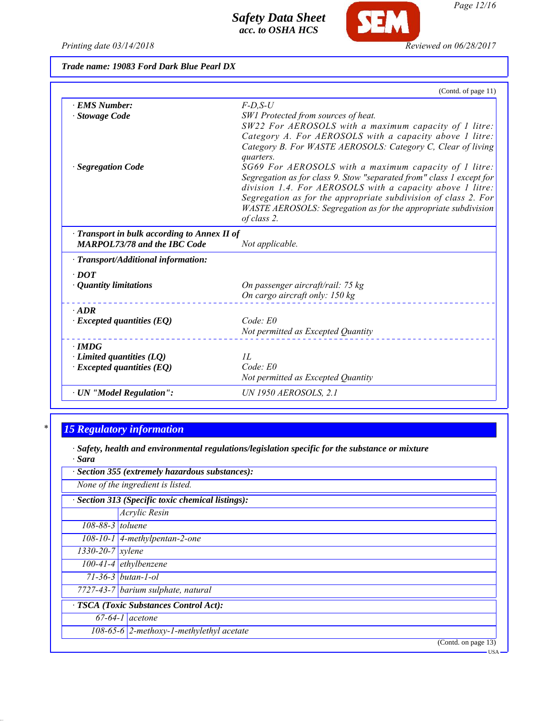*Printing date 03/14/2018 Reviewed on 06/28/2017*

**SEM** 

*Trade name: 19083 Ford Dark Blue Pearl DX*

|                                                    | (Contd. of page 11)                                                           |
|----------------------------------------------------|-------------------------------------------------------------------------------|
| · EMS Number:                                      | $F$ -D,S-U                                                                    |
| · Stowage Code                                     | SW1 Protected from sources of heat.                                           |
|                                                    | SW22 For AEROSOLS with a maximum capacity of 1 litre:                         |
|                                                    | Category A. For AEROSOLS with a capacity above 1 litre:                       |
|                                                    | Category B. For WASTE AEROSOLS: Category C, Clear of living<br>quarters.      |
| · Segregation Code                                 | SG69 For AEROSOLS with a maximum capacity of 1 litre:                         |
|                                                    | Segregation as for class 9. Stow "separated from" class 1 except for          |
|                                                    | division 1.4. For AEROSOLS with a capacity above 1 litre:                     |
|                                                    | Segregation as for the appropriate subdivision of class 2. For                |
|                                                    | WASTE AEROSOLS: Segregation as for the appropriate subdivision<br>of class 2. |
|                                                    |                                                                               |
| $\cdot$ Transport in bulk according to Annex II of |                                                                               |
| <b>MARPOL73/78 and the IBC Code</b>                | Not applicable.                                                               |
| · Transport/Additional information:                |                                                                               |
| $\cdot$ DOT                                        |                                                                               |
| $\cdot$ Quantity limitations                       | On passenger aircraft/rail: 75 kg                                             |
|                                                    | On cargo aircraft only: 150 kg                                                |
| $·$ ADR                                            |                                                                               |
| $\cdot$ Excepted quantities (EQ)                   | Code: E0                                                                      |
|                                                    | Not permitted as Excepted Quantity                                            |
| $\cdot$ IMDG                                       |                                                                               |
| $\cdot$ Limited quantities (LQ)                    | II.                                                                           |
| $\cdot$ Excepted quantities (EQ)                   | Code: E0                                                                      |
|                                                    | Not permitted as Excepted Quantity                                            |
| $\cdot$ UN "Model Regulation":                     | UN 1950 AEROSOLS, 2.1                                                         |

# *\* 15 Regulatory information*

*· Safety, health and environmental regulations/legislation specific for the substance or mixture · Sara*

|                        | Section 355 (extremely hazardous substances):      |
|------------------------|----------------------------------------------------|
|                        | None of the ingredient is listed.                  |
|                        | · Section 313 (Specific toxic chemical listings):  |
|                        | Acrylic Resin                                      |
| $108-88-3$ toluene     |                                                    |
|                        | $108-10-1$ 4-methylpentan-2-one                    |
| $1330 - 20 - 7$ xylene |                                                    |
|                        | $100-41-4$ ethylbenzene                            |
|                        | $71 - 36 - 3$ butan-1-ol                           |
|                        | 7727-43-7 barium sulphate, natural                 |
|                        | · TSCA (Toxic Substances Control Act):             |
|                        | $67-64-1$ acetone                                  |
|                        | 108-65-6 $\sqrt{2}$ -methoxy-1-methylethyl acetate |
|                        | (Contd. on page 13)                                |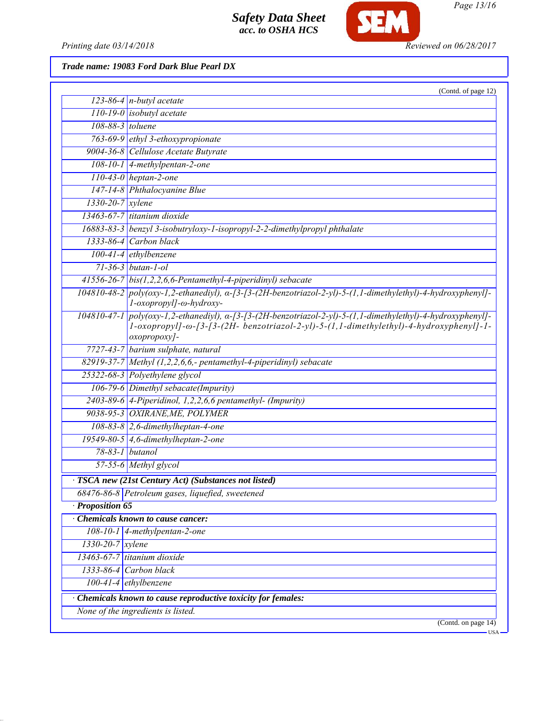

*Page 13/16*

*Printing date 03/14/2018 Reviewed on 06/28/2017*

*Trade name: 19083 Ford Dark Blue Pearl DX*

|                                                             | (Contd. of page 12)                                                                                                                                                                                                              |  |  |
|-------------------------------------------------------------|----------------------------------------------------------------------------------------------------------------------------------------------------------------------------------------------------------------------------------|--|--|
|                                                             | 123-86-4 $n$ -butyl acetate                                                                                                                                                                                                      |  |  |
|                                                             | $110-19-0$ isobutyl acetate                                                                                                                                                                                                      |  |  |
| 108-88-3 toluene                                            |                                                                                                                                                                                                                                  |  |  |
|                                                             | 763-69-9 ethyl 3-ethoxypropionate                                                                                                                                                                                                |  |  |
|                                                             | 9004-36-8 Cellulose Acetate Butyrate                                                                                                                                                                                             |  |  |
|                                                             | $108-10-1$ 4-methylpentan-2-one                                                                                                                                                                                                  |  |  |
|                                                             | $110-43-0$ heptan-2-one                                                                                                                                                                                                          |  |  |
|                                                             | 147-14-8 Phthalocyanine Blue                                                                                                                                                                                                     |  |  |
| $1330-20-7$ xylene                                          |                                                                                                                                                                                                                                  |  |  |
|                                                             | $13463-67-7$ titanium dioxide                                                                                                                                                                                                    |  |  |
|                                                             | 16883-83-3 benzyl 3-isobutryloxy-1-isopropyl-2-2-dimethylpropyl phthalate                                                                                                                                                        |  |  |
|                                                             | 1333-86-4 Carbon black                                                                                                                                                                                                           |  |  |
|                                                             | $100-41-4$ ethylbenzene                                                                                                                                                                                                          |  |  |
|                                                             | $71 - 36 - 3$ butan-1-ol                                                                                                                                                                                                         |  |  |
|                                                             | $41556-26-7$ bis(1,2,2,6,6-Pentamethyl-4-piperidinyl) sebacate                                                                                                                                                                   |  |  |
|                                                             | $104810-48-2$ poly(oxy-1,2-ethanediyl), $\alpha$ -[3-(3-(2H-benzotriazol-2-yl)-5-(1,1-dimethylethyl)-4-hydroxyphenyl]-<br>l-oxopropyl]-ω-hydroxy-                                                                                |  |  |
|                                                             | $104810-47-1$ poly(oxy-1,2-ethanediyl), $\alpha$ -[3-[3-(2H-benzotriazol-2-yl)-5-(1,1-dimethylethyl)-4-hydroxyphenyl]-<br>1-oxopropyl]-ω-[3-[3-(2H- benzotriazol-2-yl)-5-(1,1-dimethylethyl)-4-hydroxyphenyl]-1-<br>oxopropoxy]- |  |  |
|                                                             | 7727-43-7 barium sulphate, natural                                                                                                                                                                                               |  |  |
|                                                             | 82919-37-7 Methyl (1,2,2,6,6,- pentamethyl-4-piperidinyl) sebacate                                                                                                                                                               |  |  |
|                                                             | 25322-68-3 Polyethylene glycol                                                                                                                                                                                                   |  |  |
|                                                             | 106-79-6 Dimethyl sebacate(Impurity)                                                                                                                                                                                             |  |  |
|                                                             | $2403-89-6$ 4-Piperidinol, 1,2,2,6,6 pentamethyl- (Impurity)                                                                                                                                                                     |  |  |
|                                                             | 9038-95-3 OXIRANE, ME, POLYMER                                                                                                                                                                                                   |  |  |
|                                                             | $108-83-8$ 2,6-dimethylheptan-4-one                                                                                                                                                                                              |  |  |
|                                                             | 19549-80-5 $\vert$ 4,6-dimethylheptan-2-one                                                                                                                                                                                      |  |  |
|                                                             | $78-83-1$ butanol                                                                                                                                                                                                                |  |  |
|                                                             | 57-55-6 Methyl glycol                                                                                                                                                                                                            |  |  |
|                                                             | · TSCA new (21st Century Act) (Substances not listed)                                                                                                                                                                            |  |  |
|                                                             | 68476-86-8 Petroleum gases, liquefied, sweetened                                                                                                                                                                                 |  |  |
| · Proposition 65                                            |                                                                                                                                                                                                                                  |  |  |
|                                                             | Chemicals known to cause cancer:                                                                                                                                                                                                 |  |  |
| $108 - 10 - 1$                                              | $4$ -methylpentan-2-one                                                                                                                                                                                                          |  |  |
|                                                             | $1330 - 20 - 7$ xylene                                                                                                                                                                                                           |  |  |
| $13463-67-7$ titanium dioxide                               |                                                                                                                                                                                                                                  |  |  |
| $1333-86-4$ Carbon black                                    |                                                                                                                                                                                                                                  |  |  |
| $100-41-4$ ethylbenzene                                     |                                                                                                                                                                                                                                  |  |  |
| Chemicals known to cause reproductive toxicity for females: |                                                                                                                                                                                                                                  |  |  |
| None of the ingredients is listed.                          |                                                                                                                                                                                                                                  |  |  |
|                                                             | (Contd. on page $14$ )                                                                                                                                                                                                           |  |  |
|                                                             | <b>USA</b>                                                                                                                                                                                                                       |  |  |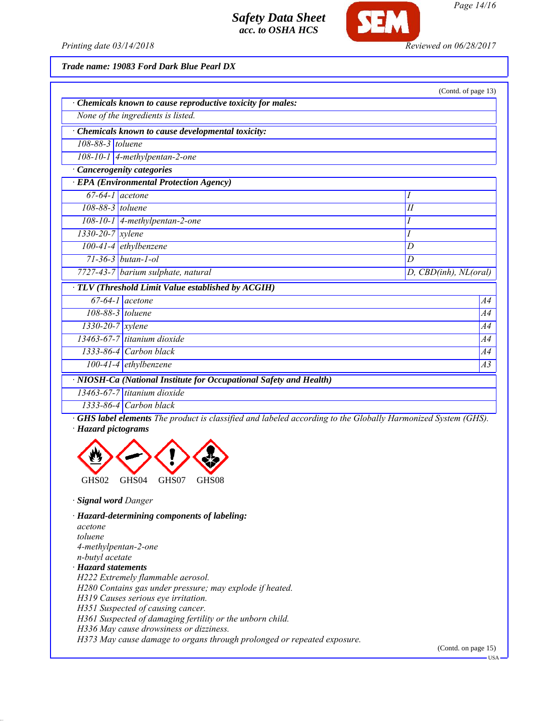

*Page 14/16*

*Printing date 03/14/2018 Reviewed on 06/28/2017*

*Trade name: 19083 Ford Dark Blue Pearl DX*

|                                                                    |                                    | (Contd. of page 13)   |  |  |
|--------------------------------------------------------------------|------------------------------------|-----------------------|--|--|
| Chemicals known to cause reproductive toxicity for males:          |                                    |                       |  |  |
| None of the ingredients is listed.                                 |                                    |                       |  |  |
| Chemicals known to cause developmental toxicity:                   |                                    |                       |  |  |
| 108-88-3 toluene                                                   |                                    |                       |  |  |
| 108-10-1   4-methylpentan-2-one                                    |                                    |                       |  |  |
| Cancerogenity categories                                           |                                    |                       |  |  |
| <b>EPA</b> (Environmental Protection Agency)                       |                                    |                       |  |  |
| $67-64-1$ acetone                                                  |                                    | Ι                     |  |  |
| 108-88-3 toluene                                                   |                                    | II                    |  |  |
|                                                                    | 108-10-1   4-methylpentan-2-one    | Ι                     |  |  |
| 1330-20-7 xylene                                                   |                                    |                       |  |  |
|                                                                    | $100-41-4$ ethylbenzene            | D                     |  |  |
|                                                                    | $71 - 36 - 3$ butan-1-ol           | D                     |  |  |
|                                                                    | 7727-43-7 barium sulphate, natural | D, CBD(inh), NL(oral) |  |  |
| · TLV (Threshold Limit Value established by ACGIH)                 |                                    |                       |  |  |
|                                                                    | $\overline{67-64-1}$ acetone       | A4                    |  |  |
| 108-88-3 toluene                                                   |                                    | A4                    |  |  |
| $1330 - 20 - 7$ xylene                                             | A <sub>4</sub>                     |                       |  |  |
|                                                                    | 13463-67-7 titanium dioxide<br>A4  |                       |  |  |
|                                                                    | $1333-86-4$ Carbon black<br>A4     |                       |  |  |
|                                                                    | $100-41-4$ ethylbenzene<br>A3      |                       |  |  |
| · NIOSH-Ca (National Institute for Occupational Safety and Health) |                                    |                       |  |  |
|                                                                    | 13463-67-7 titanium dioxide        |                       |  |  |

*1333-86-4 Carbon black*

*· GHS label elements The product is classified and labeled according to the Globally Harmonized System (GHS). · Hazard pictograms*



*· Signal word Danger*

*· Hazard-determining components of labeling: acetone toluene 4-methylpentan-2-one n-butyl acetate · Hazard statements H222 Extremely flammable aerosol. H280 Contains gas under pressure; may explode if heated. H319 Causes serious eye irritation. H351 Suspected of causing cancer. H361 Suspected of damaging fertility or the unborn child. H336 May cause drowsiness or dizziness.*

*H373 May cause damage to organs through prolonged or repeated exposure.*

(Contd. on page 15)

**HSA**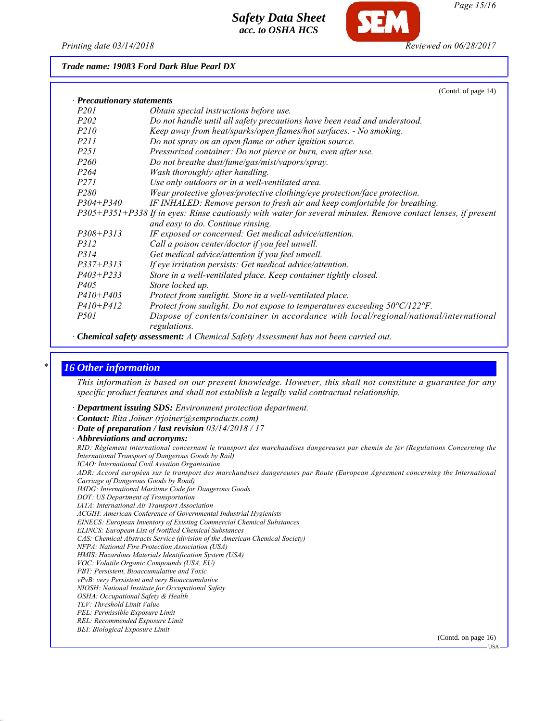*Printing date 03/14/2018 Reviewed on 06/28/2017*

#### *Trade name: 19083 Ford Dark Blue Pearl DX*

| (Contd. of page 14)                                                                                           |  |  |  |
|---------------------------------------------------------------------------------------------------------------|--|--|--|
| · Precautionary statements                                                                                    |  |  |  |
| Obtain special instructions before use.                                                                       |  |  |  |
| Do not handle until all safety precautions have been read and understood.                                     |  |  |  |
| Keep away from heat/sparks/open flames/hot surfaces. - No smoking.                                            |  |  |  |
| Do not spray on an open flame or other ignition source.                                                       |  |  |  |
| Pressurized container: Do not pierce or burn, even after use.                                                 |  |  |  |
| Do not breathe dust/fume/gas/mist/vapors/spray.                                                               |  |  |  |
| Wash thoroughly after handling.                                                                               |  |  |  |
| Use only outdoors or in a well-ventilated area.                                                               |  |  |  |
| Wear protective gloves/protective clothing/eye protection/face protection.                                    |  |  |  |
| IF INHALED: Remove person to fresh air and keep comfortable for breathing.                                    |  |  |  |
| P305+P351+P338 If in eyes: Rinse cautiously with water for several minutes. Remove contact lenses, if present |  |  |  |
| and easy to do. Continue rinsing.                                                                             |  |  |  |
| IF exposed or concerned: Get medical advice/attention.                                                        |  |  |  |
| Call a poison center/doctor if you feel unwell.                                                               |  |  |  |
| Get medical advice/attention if you feel unwell.                                                              |  |  |  |
| If eye irritation persists: Get medical advice/attention.                                                     |  |  |  |
| Store in a well-ventilated place. Keep container tightly closed.                                              |  |  |  |
| Store locked up.                                                                                              |  |  |  |
| Protect from sunlight. Store in a well-ventilated place.                                                      |  |  |  |
| Protect from sunlight. Do not expose to temperatures exceeding $50^{\circ}C/122^{\circ}F$ .                   |  |  |  |
| Dispose of contents/container in accordance with local/regional/national/international<br>regulations.        |  |  |  |
|                                                                                                               |  |  |  |

*· Chemical safety assessment: A Chemical Safety Assessment has not been carried out.*

#### *\* 16 Other information*

*This information is based on our present knowledge. However, this shall not constitute a guarantee for any specific product features and shall not establish a legally valid contractual relationship.*

- *· Department issuing SDS: Environment protection department.*
- *· Contact: Rita Joiner (rjoiner@semproducts.com)*
- *· Date of preparation / last revision 03/14/2018 / 17*
- *· Abbreviations and acronyms:*

*RID: Règlement international concernant le transport des marchandises dangereuses par chemin de fer (Regulations Concerning the International Transport of Dangerous Goods by Rail) ICAO: International Civil Aviation Organisation*

*ADR: Accord européen sur le transport des marchandises dangereuses par Route (European Agreement concerning the International Carriage of Dangerous Goods by Road)*

*IMDG: International Maritime Code for Dangerous Goods*

- *DOT: US Department of Transportation*
- *IATA: International Air Transport Association*

*ACGIH: American Conference of Governmental Industrial Hygienists*

- *EINECS: European Inventory of Existing Commercial Chemical Substances*
- *ELINCS: European List of Notified Chemical Substances*
- *CAS: Chemical Abstracts Service (division of the American Chemical Society)*

*NFPA: National Fire Protection Association (USA)*

- *HMIS: Hazardous Materials Identification System (USA)*
- *VOC: Volatile Organic Compounds (USA, EU)*
- *PBT: Persistent, Bioaccumulative and Toxic*
- *vPvB: very Persistent and very Bioaccumulative*
- *NIOSH: National Institute for Occupational Safety OSHA: Occupational Safety & Health*
- *TLV: Threshold Limit Value*
- *PEL: Permissible Exposure Limit*
- *REL: Recommended Exposure Limit*
- *BEI: Biological Exposure Limit*

(Contd. on page 16)

USA